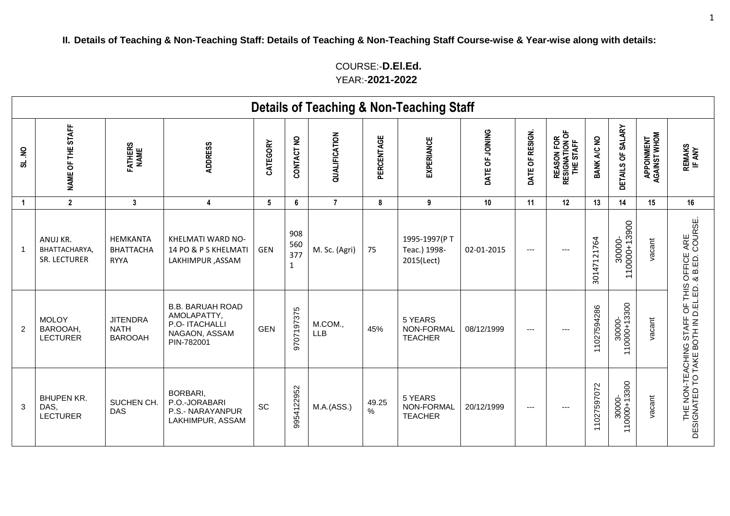COURSE:-**D.El.Ed.** YEAR:-**2021-2022**

|                |                                                 |                                                  |                                                                                         |            |                                   |                       |            | <b>Details of Teaching &amp; Non-Teaching Staff</b> |                 |                 |                                           |             |                        |                            |                                                                       |
|----------------|-------------------------------------------------|--------------------------------------------------|-----------------------------------------------------------------------------------------|------------|-----------------------------------|-----------------------|------------|-----------------------------------------------------|-----------------|-----------------|-------------------------------------------|-------------|------------------------|----------------------------|-----------------------------------------------------------------------|
| š<br>ಹ         | NAME OF THE STAFF                               | FATHERS<br>NAME                                  | <b>ADDRESS</b>                                                                          | CATEGORY   | CONTACT NO                        | QUALIFICATION         | PERCENTAGE | EXPERIANCE                                          | DATE OF JOINING | DATE OF RESIGN. | REASON FOR<br>RESIGNATION OF<br>THE STAFF | BANK A/C NO | DETAILS OF SALARY      | APPOINMENT<br>AGAINST WHOM | REMAKS<br>IF ANY                                                      |
| $\overline{1}$ | $\overline{2}$                                  | $\mathbf{3}$                                     | 4                                                                                       | 5          | 6                                 | $\overline{7}$        | 8          | 9                                                   | 10              | 11              | 12                                        | 13          | 14                     | 15                         | 16                                                                    |
| -1             | ANUJ KR.<br><b>BHATTACHARYA</b><br>SR. LECTURER | HEMKANTA<br><b>BHATTACHA</b><br><b>RYYA</b>      | KHELMATI WARD NO-<br>14 PO & P S KHELMATI<br>LAKHIMPUR, ASSAM                           | <b>GEN</b> | 908<br>560<br>377<br>$\mathbf{1}$ | M. Sc. (Agri)         | 75         | 1995-1997(PT<br>Teac.) 1998-<br>2015(Lect)          | 02-01-2015      | ---             | ---                                       | 30147121764 | 30000-<br>110000+13900 | vacant                     | OFFICE ARE<br>& B.ED. COURSE.                                         |
| 2              | <b>MOLOY</b><br>BAROOAH,<br><b>LECTURER</b>     | <b>JITENDRA</b><br><b>NATH</b><br><b>BAROOAH</b> | <b>B.B. BARUAH ROAD</b><br>AMOLAPATTY,<br>P.O- ITACHALLI<br>NAGAON, ASSAM<br>PIN-782001 | <b>GEN</b> | 9707197375                        | M.COM.,<br><b>LLB</b> | 45%        | 5 YEARS<br>NON-FORMAL<br><b>TEACHER</b>             | 08/12/1999      | $---$           | ---                                       | 11027594286 | 30000-<br>110000+13300 | vacant                     | THE NON-TEACHING STAFF OF THIS<br>DESIGNATED TO TAKE BOTH IN D.EL.ED. |
| 3              | <b>BHUPEN KR.</b><br>DAS,<br><b>LECTURER</b>    | SUCHEN CH.<br><b>DAS</b>                         | BORBARI,<br>P.O.-JORABARI<br>P.S.- NARAYANPUR<br>LAKHIMPUR, ASSAM                       | <b>SC</b>  | 9954122952                        | M.A.(ASS.)            | 49.25<br>% | 5 YEARS<br>NON-FORMAL<br><b>TEACHER</b>             | 20/12/1999      | ---             | ---                                       | 11027597072 | 30000-<br> 10000+13300 | vacant                     |                                                                       |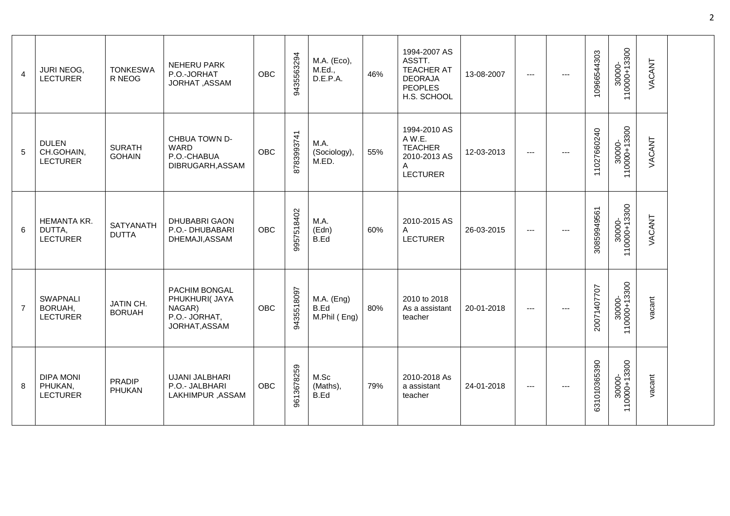| $\overline{4}$ | JURI NEOG,<br><b>LECTURER</b>                  | <b>TONKESWA</b><br>R NEOG        | NEHERU PARK<br>P.O.-JORHAT<br>JORHAT, ASSAM                                 | <b>OBC</b> | 9435563294 | M.A. (Eco),<br>M.Ed.,<br>D.E.P.A.    | 46% | 1994-2007 AS<br>ASSTT.<br><b>TEACHER AT</b><br><b>DEORAJA</b><br><b>PEOPLES</b><br>H.S. SCHOOL | 13-08-2007 | $\qquad \qquad - -$ | 10966544303  | 30000-<br>110000+13300 | VACANT |  |
|----------------|------------------------------------------------|----------------------------------|-----------------------------------------------------------------------------|------------|------------|--------------------------------------|-----|------------------------------------------------------------------------------------------------|------------|---------------------|--------------|------------------------|--------|--|
| 5              | <b>DULEN</b><br>CH.GOHAIN,<br><b>LECTURER</b>  | <b>SURATH</b><br><b>GOHAIN</b>   | CHBUA TOWN D-<br>WARD<br>P.O.-CHABUA<br>DIBRUGARH, ASSAM                    | <b>OBC</b> | 8783993741 | M.A.<br>(Sociology),<br>M.ED.        | 55% | 1994-2010 AS<br>AW.E.<br><b>TEACHER</b><br>2010-2013 AS<br>A<br><b>LECTURER</b>                | 12-03-2013 | $---$               | 11027660240  | 30000-<br>110000+13300 | VACANT |  |
| 6              | HEMANTA KR.<br>DUTTA,<br><b>LECTURER</b>       | <b>SATYANATH</b><br><b>DUTTA</b> | <b>DHUBABRI GAON</b><br>P.O.- DHUBABARI<br>DHEMAJI, ASSAM                   | <b>OBC</b> | 9957518402 | M.A.<br>(Edn)<br>B.Ed                | 60% | 2010-2015 AS<br>A<br><b>LECTURER</b>                                                           | 26-03-2015 | $\qquad \qquad - -$ | 30859949561  | 30000-<br>110000+13300 | VACANT |  |
| $\overline{7}$ | <b>SWAPNALI</b><br>BORUAH,<br><b>LECTURER</b>  | JATIN CH.<br><b>BORUAH</b>       | PACHIM BONGAL<br>PHUKHURI( JAYA<br>NAGAR)<br>P.O.- JORHAT,<br>JORHAT, ASSAM | <b>OBC</b> | 9435518097 | $M.A.$ (Eng)<br>B.Ed<br>M.Phil (Eng) | 80% | 2010 to 2018<br>As a assistant<br>teacher                                                      | 20-01-2018 | $\cdots$            | 20071407707  | 30000-<br>110000+13300 | vacant |  |
| 8              | <b>DIPA MONI</b><br>PHUKAN,<br><b>LECTURER</b> | <b>PRADIP</b><br>PHUKAN          | UJANI JALBHARI<br>P.O.- JALBHARI<br>LAKHIMPUR, ASSAM                        | <b>OBC</b> | 9613678259 | M.Sc<br>(Maths),<br>B.Ed             | 79% | 2010-2018 As<br>a assistant<br>teacher                                                         | 24-01-2018 | $\qquad \qquad - -$ | 631010365390 | 30000-<br>110000+13300 | vacant |  |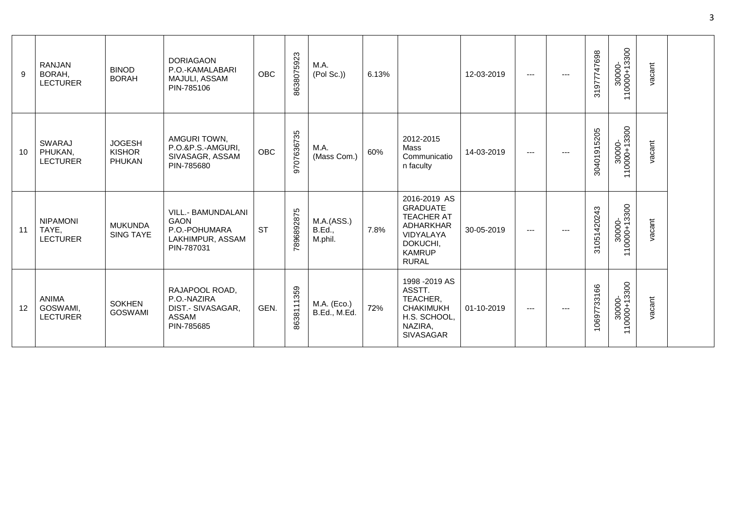| 9                 | RANJAN<br>BORAH,<br><b>LECTURER</b>         | <b>BINOD</b><br><b>BORAH</b>             | <b>DORIAGAON</b><br>P.O.-KAMALABARI<br>MAJULI, ASSAM<br>PIN-785106                   | <b>OBC</b> | 8638075923 | M.A.<br>(Pol Sc.)                      | 6.13% |                                                                                                                             | 12-03-2019 | $\cdots$          | --- | 31977747698 | 30000-<br>10000+13300<br>$\leftarrow$<br>$\overline{\phantom{0}}$             | vacant |  |
|-------------------|---------------------------------------------|------------------------------------------|--------------------------------------------------------------------------------------|------------|------------|----------------------------------------|-------|-----------------------------------------------------------------------------------------------------------------------------|------------|-------------------|-----|-------------|-------------------------------------------------------------------------------|--------|--|
| 10                | <b>SWARAJ</b><br>PHUKAN,<br><b>LECTURER</b> | <b>JOGESH</b><br><b>KISHOR</b><br>PHUKAN | AMGURI TOWN,<br>P.O.&P.S.-AMGURI,<br>SIVASAGR, ASSAM<br>PIN-785680                   | <b>OBC</b> | 9707636735 | M.A.<br>(Mass Com.)                    | 60%   | 2012-2015<br>Mass<br>Communicatio<br>n faculty                                                                              | 14-03-2019 | $\qquad \qquad -$ | --- | 30401915205 | 30000-<br>110000+13300                                                        | vacant |  |
| 11                | <b>NIPAMONI</b><br>TAYE,<br><b>LECTURER</b> | <b>MUKUNDA</b><br><b>SING TAYE</b>       | VILL.- BAMUNDALANI<br><b>GAON</b><br>P.O.-POHUMARA<br>LAKHIMPUR, ASSAM<br>PIN-787031 | <b>ST</b>  | 7896892875 | M.A.(ASS.)<br><b>B.Ed.,</b><br>M.phil. | 7.8%  | 2016-2019 AS<br><b>GRADUATE</b><br><b>TEACHER AT</b><br>ADHARKHAR<br>VIDYALAYA<br>DOKUCHI,<br><b>KAMRUP</b><br><b>RURAL</b> | 30-05-2019 | ---               |     | 31051420243 | 30000-<br>110000+13300                                                        | vacant |  |
| $12 \overline{ }$ | <b>ANIMA</b><br>GOSWAMI,<br><b>LECTURER</b> | <b>SOKHEN</b><br><b>GOSWAMI</b>          | RAJAPOOL ROAD,<br>P.O.-NAZIRA<br>DIST.- SIVASAGAR,<br><b>ASSAM</b><br>PIN-785685     | GEN.       | 8638111359 | M.A. (Eco.)<br>B.Ed., M.Ed.            | 72%   | 1998 - 2019 AS<br>ASSTT.<br>TEACHER,<br><b>CHAKIMUKH</b><br>H.S. SCHOOL,<br>NAZIRA,<br><b>SIVASAGAR</b>                     | 01-10-2019 | $--$              | --- | 10697733166 | 30000-<br>10000+13300<br>$\overline{\phantom{0}}$<br>$\overline{\phantom{0}}$ | vacant |  |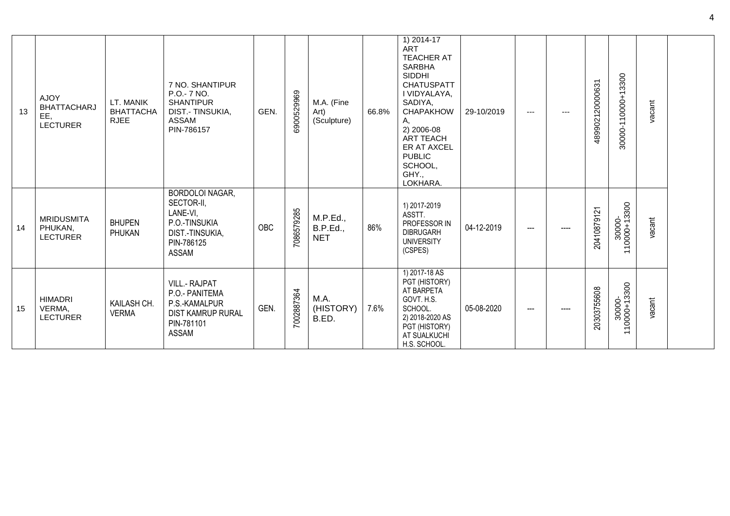| 13 | <b>AJOY</b><br><b>BHATTACHARJ</b><br>EE,<br><b>LECTURER</b> | LT. MANIK<br><b>BHATTACHA</b><br><b>RJEE</b> | 7 NO. SHANTIPUR<br>P.O.- 7 NO.<br><b>SHANTIPUR</b><br>DIST.- TINSUKIA,<br>ASSAM<br>PIN-786157               | GEN. | 6900529969 | M.A. (Fine<br>Art)<br>(Sculpture)  | 66.8% | $1) 2014 - 17$<br><b>ART</b><br><b>TEACHER AT</b><br><b>SARBHA</b><br><b>SIDDHI</b><br><b>CHATUSPATT</b><br>I VIDYALAYA,<br>SADIYA,<br><b>CHAPAKHOW</b><br>Α,<br>2) 2006-08<br><b>ART TEACH</b><br>ER AT AXCEL<br><b>PUBLIC</b><br>SCHOOL,<br>GHY.,<br>LOKHARA. | 29-10/2019 | ---  | ---  | 489902120000631 | 30000-110000+13300                                 | vacant |  |
|----|-------------------------------------------------------------|----------------------------------------------|-------------------------------------------------------------------------------------------------------------|------|------------|------------------------------------|-------|-----------------------------------------------------------------------------------------------------------------------------------------------------------------------------------------------------------------------------------------------------------------|------------|------|------|-----------------|----------------------------------------------------|--------|--|
| 14 | <b>MRIDUSMITA</b><br>PHUKAN,<br><b>LECTURER</b>             | <b>BHUPEN</b><br>PHUKAN                      | <b>BORDOLOI NAGAR,</b><br>SECTOR-II,<br>LANE-VI,<br>P.O.-TINSUKIA<br>DIST.-TINSUKIA,<br>PIN-786125<br>ASSAM | OBC  | 7086579285 | M.P.Ed.,<br>B.P.Ed.,<br><b>NET</b> | 86%   | 1) 2017-2019<br>ASSTT.<br>PROFESSOR IN<br><b>DIBRUGARH</b><br><b>UNIVERSITY</b><br>(CSPES)                                                                                                                                                                      | 04-12-2019 | ---  |      | 20410879121     | 30000-<br>110000+13300<br>$\overline{\phantom{0}}$ | vacant |  |
| 15 | <b>HIMADRI</b><br>VERMA,<br><b>LECTURER</b>                 | KAILASH CH.<br><b>VERMA</b>                  | <b>VILL.- RAJPAT</b><br>P.O.- PANITEMA<br>P.S.-KAMALPUR<br><b>DIST KAMRUP RURAL</b><br>PIN-781101<br>ASSAM  | GEN. | 7002887364 | M.A.<br>(HISTORY)<br>B.ED.         | 7.6%  | 1) 2017-18 AS<br>PGT (HISTORY)<br>AT BARPETA<br>GOVT. H.S.<br>SCHOOL.<br>2) 2018-2020 AS<br>PGT (HISTORY)<br>AT SUALKUCHI<br>H.S. SCHOOL                                                                                                                        | 05-08-2020 | $--$ | ---- | 20303755608     | 30000-<br>110000+13300<br>$\overline{\phantom{0}}$ | vacant |  |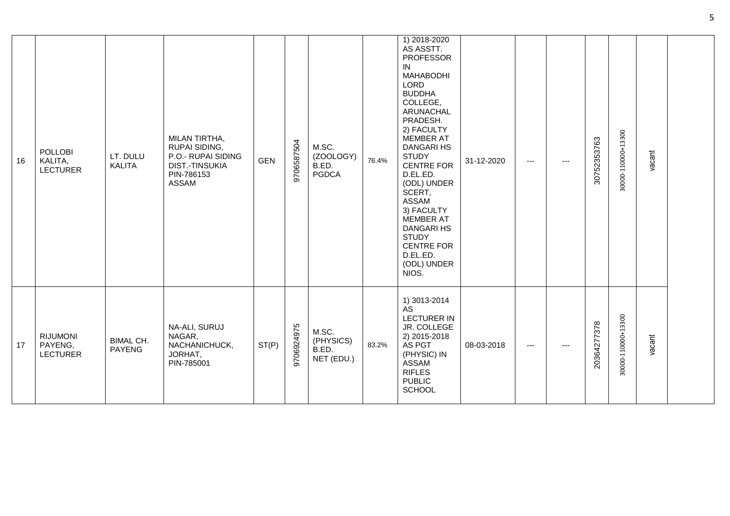| 16 | <b>POLLOBI</b><br>KALITA,<br><b>LECTURER</b>  | LT. DULU<br><b>KALITA</b>         | MILAN TIRTHA,<br>RUPAI SIDING,<br>P.O.- RUPAI SIDING<br><b>DIST.-TINSUKIA</b><br>PIN-786153<br>ASSAM | <b>GEN</b> | 9706587504 | M.SC.<br>(ZOOLOGY)<br>B.ED.<br><b>PGDCA</b> | 76.4% | 1) 2018-2020<br>AS ASSTT.<br><b>PROFESSOR</b><br>IN<br><b>MAHABODHI</b><br><b>LORD</b><br><b>BUDDHA</b><br>COLLEGE,<br>ARUNACHAL<br>PRADESH.<br>2) FACULTY<br><b>MEMBER AT</b><br><b>DANGARI HS</b><br><b>STUDY</b><br><b>CENTRE FOR</b><br>D.EL.ED.<br>(ODL) UNDER<br>SCERT,<br><b>ASSAM</b><br>3) FACULTY<br><b>MEMBER AT</b><br><b>DANGARI HS</b><br><b>STUDY</b><br><b>CENTRE FOR</b><br>D.EL.ED.<br>(ODL) UNDER<br>NIOS. | 31-12-2020 | $- - -$ | --- | 30752353763 | 30000-110000+13300 | vacant |  |
|----|-----------------------------------------------|-----------------------------------|------------------------------------------------------------------------------------------------------|------------|------------|---------------------------------------------|-------|-------------------------------------------------------------------------------------------------------------------------------------------------------------------------------------------------------------------------------------------------------------------------------------------------------------------------------------------------------------------------------------------------------------------------------|------------|---------|-----|-------------|--------------------|--------|--|
| 17 | <b>RIJUMONI</b><br>PAYENG,<br><b>LECTURER</b> | <b>BIMAL CH.</b><br><b>PAYENG</b> | NA-ALI, SURUJ<br>NAGAR,<br>NACHANICHUCK,<br>JORHAT,<br>PIN-785001                                    | ST(P)      | 9706924975 | M.SC.<br>(PHYSICS)<br>B.ED.<br>NET (EDU.)   | 83.2% | 1) 3013-2014<br><b>AS</b><br><b>LECTURER IN</b><br>JR. COLLEGE<br>2) 2015-2018<br>AS PGT<br>(PHYSIC) IN<br>ASSAM<br><b>RIFLES</b><br><b>PUBLIC</b><br><b>SCHOOL</b>                                                                                                                                                                                                                                                           | 08-03-2018 | $--$    | --- | 20364277378 | 30000-110000+13300 | vacant |  |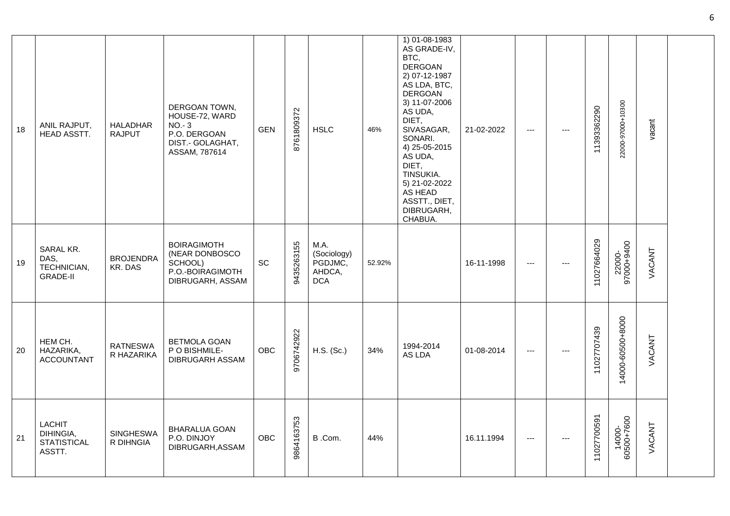| 18 | ANIL RAJPUT,<br>HEAD ASSTT.                                | <b>HALADHAR</b><br><b>RAJPUT</b> | DERGOAN TOWN,<br>HOUSE-72, WARD<br>$NO - 3$<br>P.O. DERGOAN<br>DIST.- GOLAGHAT,<br>ASSAM, 787614 | <b>GEN</b> | 8761809372 | <b>HSLC</b>                                            | 46%    | 1) 01-08-1983<br>AS GRADE-IV,<br>BTC,<br><b>DERGOAN</b><br>2) 07-12-1987<br>AS LDA, BTC,<br><b>DERGOAN</b><br>3) 11-07-2006<br>AS UDA,<br>DIET,<br>SIVASAGAR,<br>SONARI.<br>4) 25-05-2015<br>AS UDA,<br>DIET.<br>TINSUKIA.<br>5) 21-02-2022<br>AS HEAD<br>ASSTT., DIET,<br>DIBRUGARH,<br>CHABUA. | 21-02-2022 | $\scriptstyle\cdots$     | $---$ | 11393362290 | 22000-97000+10300    | vacant |  |
|----|------------------------------------------------------------|----------------------------------|--------------------------------------------------------------------------------------------------|------------|------------|--------------------------------------------------------|--------|--------------------------------------------------------------------------------------------------------------------------------------------------------------------------------------------------------------------------------------------------------------------------------------------------|------------|--------------------------|-------|-------------|----------------------|--------|--|
| 19 | SARAL KR.<br>DAS,<br>TECHNICIAN,<br><b>GRADE-II</b>        | <b>BROJENDRA</b><br>KR. DAS      | <b>BOIRAGIMOTH</b><br>(NEAR DONBOSCO<br>SCHOOL)<br>P.O.-BOIRAGIMOTH<br>DIBRUGARH, ASSAM          | <b>SC</b>  | 9435263155 | M.A.<br>(Sociology)<br>PGDJMC,<br>AHDCA,<br><b>DCA</b> | 52.92% |                                                                                                                                                                                                                                                                                                  | 16-11-1998 | $\hspace{0.05cm} \ldots$ | ---   | 11027664029 | 22000-<br>97000+9400 | VACANT |  |
| 20 | HEM CH.<br>HAZARIKA,<br><b>ACCOUNTANT</b>                  | <b>RATNESWA</b><br>R HAZARIKA    | <b>BETMOLA GOAN</b><br>P O BISHMILE-<br><b>DIBRUGARH ASSAM</b>                                   | <b>OBC</b> | 9706742922 | H.S. (Sc.)                                             | 34%    | 1994-2014<br>AS LDA                                                                                                                                                                                                                                                                              | 01-08-2014 | $\scriptstyle\cdots$     | $---$ | 11027707439 | 14000-60500+8000     | VACANT |  |
| 21 | <b>LACHIT</b><br>DIHINGIA,<br><b>STATISTICAL</b><br>ASSTT. | <b>SINGHESWA</b><br>R DIHNGIA    | <b>BHARALUA GOAN</b><br>P.O. DINJOY<br>DIBRUGARH, ASSAM                                          | <b>OBC</b> | 9864163753 | B.Com.                                                 | 44%    |                                                                                                                                                                                                                                                                                                  | 16.11.1994 | $\hspace{0.05cm} \ldots$ | $---$ | 11027700591 | 14000-<br>60500+7600 | VACANT |  |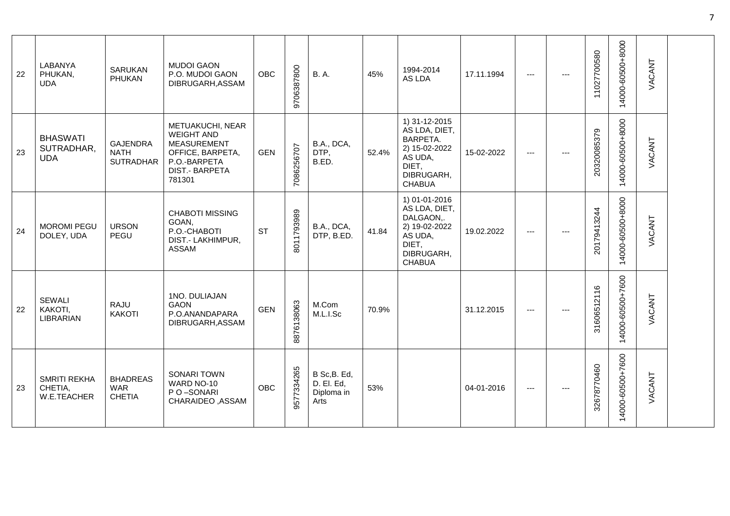| 22 | LABANYA<br>PHUKAN,<br><b>UDA</b>              | <b>SARUKAN</b><br>PHUKAN                           | <b>MUDOI GAON</b><br>P.O. MUDOI GAON<br>DIBRUGARH, ASSAM                                                                           | <b>OBC</b> | 9706387800 | <b>B.A.</b>                                      | 45%   | 1994-2014<br>AS LDA                                                                                             | 17.11.1994 | ---      |       | 11027700580 | 14000-60500+8000                            | VACANT |  |
|----|-----------------------------------------------|----------------------------------------------------|------------------------------------------------------------------------------------------------------------------------------------|------------|------------|--------------------------------------------------|-------|-----------------------------------------------------------------------------------------------------------------|------------|----------|-------|-------------|---------------------------------------------|--------|--|
| 23 | <b>BHASWATI</b><br>SUTRADHAR,<br><b>UDA</b>   | <b>GAJENDRA</b><br><b>NATH</b><br><b>SUTRADHAR</b> | METUAKUCHI, NEAR<br><b>WEIGHT AND</b><br><b>MEASUREMENT</b><br>OFFICE, BARPETA,<br>P.O.-BARPETA<br><b>DIST.- BARPETA</b><br>781301 | <b>GEN</b> | 7086256707 | B.A., DCA,<br>DTP,<br>B.ED.                      | 52.4% | 1) 31-12-2015<br>AS LDA, DIET,<br>BARPETA.<br>2) 15-02-2022<br>AS UDA,<br>DIET,<br>DIBRUGARH,<br><b>CHABUA</b>  | 15-02-2022 | $---$    | $---$ | 20320085379 | 14000-60500+8000                            | VACANT |  |
| 24 | <b>MOROMI PEGU</b><br>DOLEY, UDA              | <b>URSON</b><br>PEGU                               | <b>CHABOTI MISSING</b><br>GOAN,<br>P.O.-CHABOTI<br>DIST.- LAKHIMPUR,<br>ASSAM                                                      | <b>ST</b>  | 8011793989 | B.A., DCA,<br>DTP, B.ED.                         | 41.84 | 1) 01-01-2016<br>AS LDA, DIET,<br>DALGAON,.<br>2) 19-02-2022<br>AS UDA,<br>DIET,<br>DIBRUGARH,<br><b>CHABUA</b> | 19.02.2022 | $---$    |       | 20179413244 | 14000-60500+8000                            | VACANT |  |
| 22 | SEWALI<br>KAKOTI,<br><b>LIBRARIAN</b>         | <b>RAJU</b><br><b>KAKOTI</b>                       | 1NO. DULIAJAN<br>GAON<br>P.O.ANANDAPARA<br>DIBRUGARH, ASSAM                                                                        | <b>GEN</b> | 8876138063 | M.Com<br>M.L.I.Sc                                | 70.9% |                                                                                                                 | 31.12.2015 | $---$    | $---$ | 31606512116 | 14000-60500+7600                            | VACANT |  |
| 23 | <b>SMRITI REKHA</b><br>CHETIA,<br>W.E.TEACHER | <b>BHADREAS</b><br><b>WAR</b><br><b>CHETIA</b>     | SONARI TOWN<br>WARD NO-10<br>P O-SONARI<br>CHARAIDEO, ASSAM                                                                        | <b>OBC</b> | 9577334265 | B Sc, B. Ed,<br>D. El. Ed,<br>Diploma in<br>Arts | 53%   |                                                                                                                 | 04-01-2016 | $\cdots$ | $---$ | 32678770460 | 4000-60500+7600<br>$\overline{\phantom{0}}$ | VACANT |  |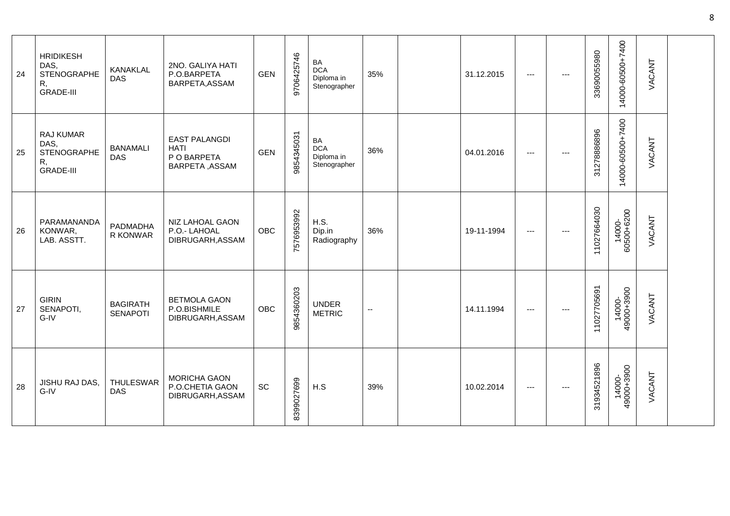| 24 | <b>HRIDIKESH</b><br>DAS,<br><b>STENOGRAPHE</b><br>R,<br><b>GRADE-III</b> | KANAKLAL<br>DAS                    | 2NO. GALIYA HATI<br>P.O.BARPETA<br>BARPETA, ASSAM                    | <b>GEN</b> | 9706425746 | BA<br><b>DCA</b><br>Diploma in<br>Stenographer | 35%                      | 31.12.2015 | $\cdots$            | --- | 33690055980 | 14000-60500+7400     | VACANT |  |
|----|--------------------------------------------------------------------------|------------------------------------|----------------------------------------------------------------------|------------|------------|------------------------------------------------|--------------------------|------------|---------------------|-----|-------------|----------------------|--------|--|
| 25 | RAJ KUMAR<br>DAS,<br><b>STENOGRAPHE</b><br>R,<br><b>GRADE-III</b>        | <b>BANAMALI</b><br><b>DAS</b>      | <b>EAST PALANGDI</b><br><b>HATI</b><br>P O BARPETA<br>BARPETA, ASSAM | <b>GEN</b> | 9854345031 | BA<br><b>DCA</b><br>Diploma in<br>Stenographer | 36%                      | 04.01.2016 | $\qquad \qquad - -$ |     | 31278886896 | 14000-60500+7400     | VACANT |  |
| 26 | PARAMANANDA<br>KONWAR,<br>LAB. ASSTT.                                    | PADMADHA<br>R KONWAR               | NIZ LAHOAL GAON<br>P.O.- LAHOAL<br>DIBRUGARH, ASSAM                  | <b>OBC</b> | 7576953992 | H.S.<br>Dip.in<br>Radiography                  | 36%                      | 19-11-1994 | $\cdots$            |     | 11027664030 | 14000-<br>60500+6200 | VACANT |  |
| 27 | <b>GIRIN</b><br>SENAPOTI,<br>G-IV                                        | <b>BAGIRATH</b><br><b>SENAPOTI</b> | <b>BETMOLA GAON</b><br>P.O.BISHMILE<br>DIBRUGARH, ASSAM              | <b>OBC</b> | 9854360203 | <b>UNDER</b><br><b>METRIC</b>                  | $\overline{\phantom{a}}$ | 14.11.1994 | $\qquad \qquad - -$ |     | 11027705691 | 14000-<br>49000+3900 | VACANT |  |
| 28 | JISHU RAJ DAS,<br>G-IV                                                   | <b>THULESWAR</b><br><b>DAS</b>     | <b>MORICHA GAON</b><br>P.O.CHETIA GAON<br>DIBRUGARH, ASSAM           | <b>SC</b>  | 8399027699 | H.S                                            | 39%                      | 10.02.2014 | ---                 |     | 31934521896 | 14000-<br>49000+3900 | VACANT |  |